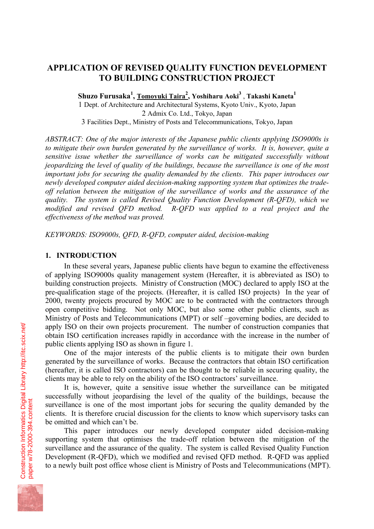# **APPLICATION OF REVISED QUALITY FUNCTION DEVELOPMENT TO BUILDING CONSTRUCTION PROJECT**

**Shuzo Furusaka<sup>1</sup> , Tomoyuki Taira<sup>2</sup> , Yoshiharu Aoki<sup>3</sup>** , **Takashi Kaneta<sup>1</sup>**

1 Dept. of Architecture and Architectural Systems, Kyoto Univ., Kyoto, Japan 2 Admix Co. Ltd., Tokyo, Japan 3 Facilities Dept., Ministry of Posts and Telecommunications, Tokyo, Japan

*ABSTRACT: One of the major interests of the Japanese public clients applying ISO9000s is to mitigate their own burden generated by the surveillance of works. It is, however, quite a sensitive issue whether the surveillance of works can be mitigated successfully without jeopardizing the level of quality of the buildings, because the surveillance is one of the most important jobs for securing the quality demanded by the clients. This paper introduces our newly developed computer aided decision-making supporting system that optimizes the tradeoff relation between the mitigation of the surveillance of works and the assurance of the quality. The system is called Revised Quality Function Development (R-QFD), which we modified and revised QFD method. R-QFD was applied to a real project and the effectiveness of the method was proved.* 

*KEYWORDS: ISO9000s, QFD, R-QFD, computer aided, decision-making*

### **1. INTRODUCTION**

In these several years, Japanese public clients have begun to examine the effectiveness of applying ISO9000s quality management system (Hereafter, it is abbreviated as ISO) to building construction projects. Ministry of Construction (MOC) declared to apply ISO at the pre-qualification stage of the projects. (Hereafter, it is called ISO projects) In the year of 2000, twenty projects procured by MOC are to be contracted with the contractors through open competitive bidding. Not only MOC, but also some other public clients, such as Ministry of Posts and Telecommunications (MPT) or self –governing bodies, are decided to apply ISO on their own projects procurement. The number of construction companies that obtain ISO certification increases rapidly in accordance with the increase in the number of public clients applying ISO as shown in figure 1.

One of the major interests of the public clients is to mitigate their own burden generated by the surveillance of works. Because the contractors that obtain ISO certification (hereafter, it is called ISO contractors) can be thought to be reliable in securing quality, the clients may be able to rely on the ability of the ISO contractors' surveillance.

It is, however, quite a sensitive issue whether the surveillance can be mitigated successfully without jeopardising the level of the quality of the buildings, because the surveillance is one of the most important jobs for securing the quality demanded by the clients. It is therefore crucial discussion for the clients to know which supervisory tasks can be omitted and which can't be.

This paper introduces our newly developed computer aided decision-making supporting system that optimises the trade-off relation between the mitigation of the surveillance and the assurance of the quality. The system is called Revised Quality Function Development (R-QFD), which we modified and revised QFD method. R-QFD was applied to a newly built post office whose client is Ministry of Posts and Telecommunications (MPT).

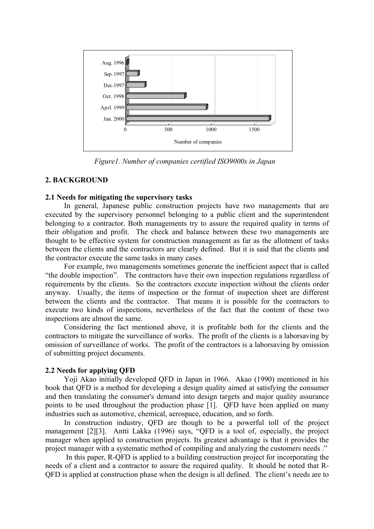

*Figure1. Number of companies certified ISO9000s in Japan* 

# **2. BACKGROUND**

### **2.1 Needs for mitigating the supervisory tasks**

In general, Japanese public construction projects have two managements that are executed by the supervisory personnel belonging to a public client and the superintendent belonging to a contractor. Both managements try to assure the required quality in terms of their obligation and profit. The check and balance between these two managements are thought to be effective system for construction management as far as the allotment of tasks between the clients and the contractors are clearly defined. But it is said that the clients and the contractor execute the same tasks in many cases.

For example, two managements sometimes generate the inefficient aspect that is called "the double inspection". The contractors have their own inspection regulations regardless of requirements by the clients. So the contractors execute inspection without the clients order anyway. Usually, the items of inspection or the format of inspection sheet are different between the clients and the contractor. That means it is possible for the contractors to execute two kinds of inspections, nevertheless of the fact that the content of these two inspections are almost the same.

Considering the fact mentioned above, it is profitable both for the clients and the contractors to mitigate the surveillance of works. The profit of the clients is a laborsaving by omission of surveillance of works. The profit of the contractors is a laborsaving by omission of submitting project documents.

# **2.2 Needs for applying QFD**

Yoji Akao initially developed QFD in Japan in 1966. Akao (1990) mentioned in his book that QFD is a method for developing a design quality aimed at satisfying the consumer and then translating the consumer's demand into design targets and major quality assurance points to be used throughout the production phase [1]. QFD have been applied on many industries such as automotive, chemical, aerospace, education, and so forth.

In construction industry, QFD are though to be a powerful toll of the project management [2][3]. Antti Lakka (1996) says, "QFD is a tool of, especially, the project manager when applied to construction projects. Its greatest advantage is that it provides the project manager with a systematic method of compiling and analyzing the customers needs ."

 In this paper, R-QFD is applied to a building construction project for incorporating the needs of a client and a contractor to assure the required quality. It should be noted that R-QFD is applied at construction phase when the design is all defined. The client's needs are to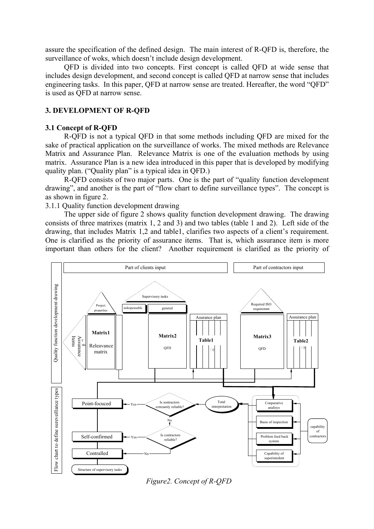assure the specification of the defined design. The main interest of R-QFD is, therefore, the surveillance of woks, which doesn't include design development.

QFD is divided into two concepts. First concept is called QFD at wide sense that includes design development, and second concept is called QFD at narrow sense that includes engineering tasks. In this paper, QFD at narrow sense are treated. Hereafter, the word "QFD" is used as QFD at narrow sense.

#### **3. DEVELOPMENT OF R-QFD**

#### **3.1 Concept of R-QFD**

R-QFD is not a typical QFD in that some methods including QFD are mixed for the sake of practical application on the surveillance of works. The mixed methods are Relevance Matrix and Assurance Plan. Relevance Matrix is one of the evaluation methods by using matrix. Assurance Plan is a new idea introduced in this paper that is developed by modifying quality plan. ("Quality plan" is a typical idea in QFD.)

R-QFD consists of two major parts. One is the part of "quality function development drawing", and another is the part of "flow chart to define surveillance types". The concept is as shown in figure 2.

3.1.1 Quality function development drawing

The upper side of figure 2 shows quality function development drawing. The drawing consists of three matrixes (matrix 1, 2 and 3) and two tables (table 1 and 2). Left side of the drawing, that includes Matrix 1,2 and table1, clarifies two aspects of a client's requirement. One is clarified as the priority of assurance items. That is, which assurance item is more important than others for the client? Another requirement is clarified as the priority of



*Figure2. Concept of R-QFD*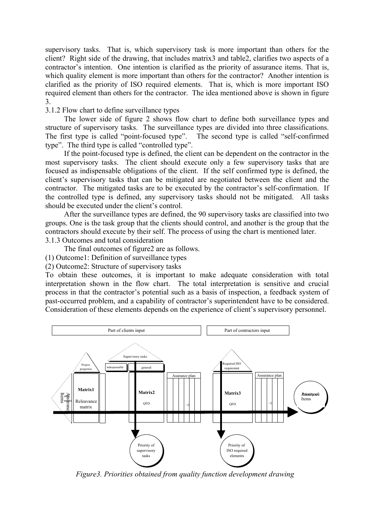supervisory tasks. That is, which supervisory task is more important than others for the client? Right side of the drawing, that includes matrix3 and table2, clarifies two aspects of a contractor's intention. One intention is clarified as the priority of assurance items. That is, which quality element is more important than others for the contractor? Another intention is clarified as the priority of ISO required elements. That is, which is more important ISO required element than others for the contractor. The idea mentioned above is shown in figure 3.

3.1.2 Flow chart to define surveillance types

The lower side of figure 2 shows flow chart to define both surveillance types and structure of supervisory tasks. The surveillance types are divided into three classifications. The first type is called "point-focused type". The second type is called "self-confirmed type". The third type is called "controlled type".

If the point-focused type is defined, the client can be dependent on the contractor in the most supervisory tasks. The client should execute only a few supervisory tasks that are focused as indispensable obligations of the client. If the self confirmed type is defined, the client's supervisory tasks that can be mitigated are negotiated between the client and the contractor. The mitigated tasks are to be executed by the contractor's self-confirmation. If the controlled type is defined, any supervisory tasks should not be mitigated. All tasks should be executed under the client's control.

After the surveillance types are defined, the 90 supervisory tasks are classified into two groups. One is the task group that the clients should control, and another is the group that the contractors should execute by their self. The process of using the chart is mentioned later. 3.1.3 Outcomes and total consideration

The final outcomes of figure2 are as follows.

(1) Outcome1: Definition of surveillance types

(2) Outcome2: Structure of supervisory tasks

To obtain these outcomes, it is important to make adequate consideration with total interpretation shown in the flow chart. The total interpretation is sensitive and crucial process in that the contractor's potential such as a basis of inspection, a feedback system of past-occurred problem, and a capability of contractor's superintendent have to be considered. Consideration of these elements depends on the experience of client's supervisory personnel.



*Figure3. Priorities obtained from quality function development drawing*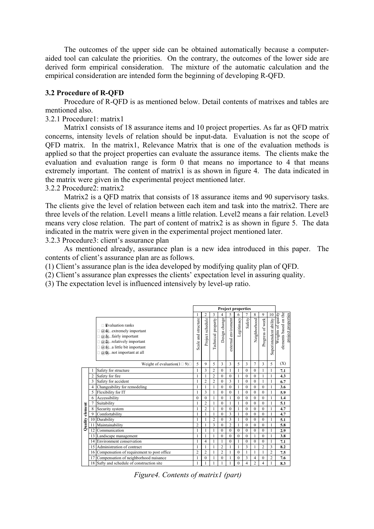The outcomes of the upper side can be obtained automatically because a computeraided tool can calculate the priorities. On the contrary, the outcomes of the lower side are derived form empirical consideration. The mixture of the automatic calculation and the empirical consideration are intended form the beginning of developing R-QFD.

#### **3.2 Procedure of R-QFD**

Procedure of R-QFD is as mentioned below. Detail contents of matrixes and tables are mentioned also.

3.2.1 Procedure1: matrix1

Matrix1 consists of 18 assurance items and 10 project properties. As far as QFD matrix concerns, intensity levels of relation should be input-data. Evaluation is not the scope of QFD matrix. In the matrix1, Relevance Matrix that is one of the evaluation methods is applied so that the project properties can evaluate the assurance items. The clients make the evaluation and evaluation range is form 0 that means no importance to 4 that means extremely important. The content of matrix1 is as shown in figure 4. The data indicated in the matrix were given in the experimental project mentioned later.

3.2.2 Procedure2: matrix2

Matrix2 is a QFD matrix that consists of 18 assurance items and 90 supervisory tasks. The clients give the level of relation between each item and task into the matrix2. There are three levels of the relation. Level1 means a little relation. Level2 means a fair relation. Level3 means very close relation. The part of content of matrix2 is as shown in figure 5. The data indicated in the matrix were given in the experimental project mentioned later. 3.2.3 Procedure3: client's assurance plan

As mentioned already, assurance plan is a new idea introduced in this paper. The

contents of client's assurance plan are as follows. (1) Client's assurance plan is the idea developed by modifying quality plan of QFD.

(2) Client's assurance plan expresses the clients' expectation level in assuring quality.

(3) The expectation level is influenced intensively by level-up ratio.

|                 |                |                                                                                                                                                                                                        | <b>Project properties</b> |                  |                    |                  |                     |              |                |                |                  |                        |                                                                   |
|-----------------|----------------|--------------------------------------------------------------------------------------------------------------------------------------------------------------------------------------------------------|---------------------------|------------------|--------------------|------------------|---------------------|--------------|----------------|----------------|------------------|------------------------|-------------------------------------------------------------------|
|                 |                |                                                                                                                                                                                                        |                           | 2                | 3                  | 4                | 5                   | 6            | 7              | 8              | 9                | 10                     |                                                                   |
|                 |                | $\Box$ Evaluation ranks<br>$(a)$ $(a)$ . extremely important<br>$(a, a)$ . fairly important<br>$(a, a)$ . relatively important<br>$(a)$ , $(a)$ ittle bit important<br>$(a, a)$ , not important at all | Scale and structure       | Project schedule | Technical property | Design change    | external enviroment | Legitimacy   | Safety         | Neighborhood   | Progress of work | Superintendent ability | elements based on the<br>Weights of quality<br>project properties |
|                 |                | Weight of evaluation( $1 \square 9$ ) $\square$                                                                                                                                                        | 5                         | 9                | 5                  | 3                | 3                   | 5            | 3              | 7              | 3                | 5                      | (X)                                                               |
|                 |                | Safety for structure                                                                                                                                                                                   | 1                         | 3                | $\overline{c}$     | $\mathbf{0}$     |                     |              | $\overline{0}$ | 0              |                  |                        | 7.1                                                               |
|                 | $\overline{c}$ | Safety for fire                                                                                                                                                                                        | 1                         | 1                | $\overline{c}$     | $\theta$         | $\Omega$            |              | $\theta$       | $\theta$       |                  |                        | 4.3                                                               |
|                 | 3              | Safety for accident                                                                                                                                                                                    | 1                         | $\overline{2}$   | $\overline{c}$     | $\theta$         | 3                   | 1            | $\theta$       | $\theta$       | 1                | 1                      | 6.7                                                               |
|                 | 4              | Changeability for remodeling                                                                                                                                                                           | 1                         | $\mathbf{1}$     | 1                  | $\theta$         | $\theta$            |              | $\theta$       | $\theta$       | $\theta$         |                        | 3.6                                                               |
|                 | 5              | Flexibility for IT                                                                                                                                                                                     | 1                         | 3                | 1                  | $\theta$         | $\theta$            | 1            | $\theta$       | $\theta$       | $\theta$         | 1                      | 5.9                                                               |
|                 | 6              | Accessibility                                                                                                                                                                                          | $\theta$                  | $\theta$         | 1                  | $\Omega$         | 1                   | $\theta$     | $\theta$       | $\theta$       | $\theta$         | 1                      | 1.4                                                               |
|                 | 7              | Suitability                                                                                                                                                                                            | 1                         | $\overline{2}$   | 1                  | $\theta$         | 1                   | 1            | $\Omega$       | $\Omega$       | $\Omega$         | 1                      | 5.1                                                               |
| Quality element | 8              | Security system                                                                                                                                                                                        | 1                         | $\overline{2}$   | 1                  | $\Omega$         | $\Omega$            |              | $\theta$       | 0              | $\theta$         | 1                      | 4.7                                                               |
|                 | 9              | Comfortability                                                                                                                                                                                         |                           | 1                | 1                  | $\theta$         | 3                   |              | $\theta$       | $\theta$       | $\theta$         | 1                      | 4.7                                                               |
|                 | 10             | Durability                                                                                                                                                                                             | 1                         | 1                | $\overline{c}$     | $\Omega$         | 3                   |              | $\Omega$       | 0              | $\theta$         |                        | 5.1                                                               |
|                 | 11             | Maintainability                                                                                                                                                                                        | $\overline{c}$            | 1                | 3                  | $\theta$         | $\overline{c}$      | 1            | $\theta$       | $\theta$       | $\theta$         | 1                      | 5.8                                                               |
|                 | 12             | Communication                                                                                                                                                                                          | 1                         | 1                | 1                  | $\Omega$         | $\Omega$            | $\Omega$     | $\theta$       | $\theta$       | $\Omega$         |                        | 2.9                                                               |
|                 | 13             | Landscape management                                                                                                                                                                                   |                           |                  | 1                  | $\boldsymbol{0}$ | $\Omega$            | $\mathbf{0}$ | $\theta$       |                | $\Omega$         | 1                      | 3.8                                                               |
|                 | 14             | Environment conservation                                                                                                                                                                               | 1                         | 4                | 1                  | 1                | $\Omega$            | 1            | $\theta$       | $\theta$       | $\Omega$         | 1                      | 7.1                                                               |
|                 | 15             | Administration of contract                                                                                                                                                                             | 1                         | 1                |                    | $\overline{c}$   |                     |              | 3              |                | $\overline{c}$   | 3                      | 8.2                                                               |
|                 | 16             | Compensation of requirement to post office                                                                                                                                                             | $\overline{c}$            | $\overline{2}$   | 1                  | $\overline{c}$   | 1                   | $\theta$     |                |                | 1                | $\overline{2}$         | 7.5                                                               |
|                 | 17             | Compensation of neighborhood nuisance                                                                                                                                                                  | 1                         | $\overline{0}$   | 1                  | $\mathbf{0}$     |                     | $\theta$     | 3              | 4              | $\theta$         | $\overline{2}$         | 7.6                                                               |
|                 | 18             | Safty and schedule of construction site                                                                                                                                                                | 1                         | 1                | 1                  |                  |                     | $\theta$     | 4              | $\overline{c}$ | 4                | 1                      | 8.3                                                               |

*Figure4. Contents of matrix1 (part)*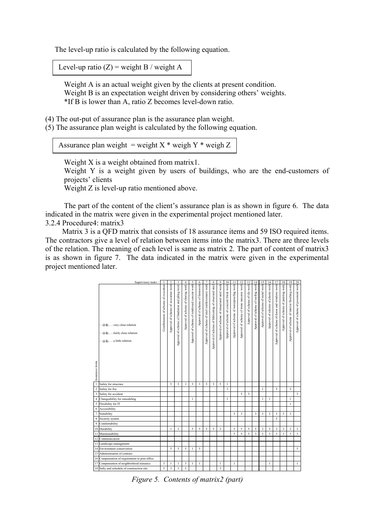The level-up ratio is calculated by the following equation.

Level-up ratio  $(Z)$  = weight B / weight A

Weight A is an actual weight given by the clients at present condition. Weight B is an expectation weight driven by considering others' weights. \*If B is lower than A, ratio Z becomes level-down ratio.

(4) The out-put of assurance plan is the assurance plan weight.

(5) The assurance plan weight is calculated by the following equation.

Assurance plan weight = weight  $X^*$  weigh  $Y^*$  weigh Z

Weight X is a weight obtained from matrix1.

Weight Y is a weight given by users of buildings, who are the end-customers of projects' clients

Weight Z is level-up ratio mentioned above.

The part of the content of the client's assurance plan is as shown in figure 6. The data indicated in the matrix were given in the experimental project mentioned later.

3.2.4 Procedure4: matrix3

Matrix 3 is a QFD matrix that consists of 18 assurance items and 59 ISO required items. The contractors give a level of relation between items into the matrix3. There are three levels of the relation. The meaning of each level is same as matrix 2. The part of content of matrix3 is as shown in figure 7. The data indicated in the matrix were given in the experimental project mentioned later.

|                  | Supervisory tasks                                                                                           | $\mathbf{I}$                        | $\overline{2}$                       | 3                                               | $\overline{4}$                     | 5                                             | 6                              | $\tau$                                         | 8                                                     | 9                                            | 10                                        | $\overline{11}$                          | 12                                       | 13                              | 14                                 | 15                               | 16                                 | 17                                           | 18                                  | 19                                            |                                     |
|------------------|-------------------------------------------------------------------------------------------------------------|-------------------------------------|--------------------------------------|-------------------------------------------------|------------------------------------|-----------------------------------------------|--------------------------------|------------------------------------------------|-------------------------------------------------------|----------------------------------------------|-------------------------------------------|------------------------------------------|------------------------------------------|---------------------------------|------------------------------------|----------------------------------|------------------------------------|----------------------------------------------|-------------------------------------|-----------------------------------------------|-------------------------------------|
|                  | $\Box$ @ $\omega$ , very close relation<br>$\Box$ @@fairly close relation<br>$\Box$ @ \@  a little relation | Comfirmation of scheme of execution | Approval of scheme of execution work | Approval of scheme of fundation and piling work | Approval of scheme of shoring work | Approval of scheme of reinforced concete work | Approval of scheme of formwork | Approval of scheme of steel reinforcement work | Approval of scheme of fabricating of structural steel | Approval of scheme of strauctural steel work | Approval of scheme of concrete block work | Approval of scheme of waterproofing work | Approval of scheme of stone masonry work | Approval of scheme of tile work | Approval of scheme of roofing work | Approval of scheme of metal work | Approval of scheme of plaster work | Approval of scheme of doors and windows work | Approval of scheme of painting work | Approval of scheme of interior finishing work | Approval of scheme of pavement work |
| Assurance items  |                                                                                                             |                                     |                                      |                                                 |                                    |                                               |                                |                                                |                                                       |                                              |                                           |                                          |                                          |                                 |                                    |                                  |                                    |                                              |                                     |                                               |                                     |
| $\mathbf{I}$     | Safety for structure                                                                                        |                                     | 5                                    | 5                                               | 1                                  | 5                                             | $\overline{\mathbf{3}}$        | 5                                              | 5                                                     | 5                                            | 1                                         |                                          |                                          |                                 |                                    |                                  |                                    |                                              |                                     |                                               |                                     |
| $\boldsymbol{2}$ | Safety for fire                                                                                             |                                     |                                      |                                                 |                                    |                                               |                                |                                                |                                                       |                                              | 3                                         |                                          |                                          |                                 |                                    | 1                                |                                    | 5                                            |                                     | 5                                             |                                     |
| $\mathfrak z$    | Safety for accident                                                                                         |                                     |                                      |                                                 |                                    |                                               |                                |                                                |                                                       |                                              |                                           |                                          | 5                                        | 5                               |                                    |                                  |                                    |                                              |                                     |                                               | $\overline{\mathbf{3}}$             |
| $\overline{4}$   | Changeability for remodeling                                                                                |                                     |                                      |                                                 |                                    | 1                                             |                                |                                                |                                                       |                                              | 3                                         |                                          |                                          |                                 |                                    | 1                                | 1                                  |                                              |                                     | 1                                             |                                     |
| 5                | Flexibility for IT                                                                                          |                                     |                                      |                                                 |                                    |                                               |                                |                                                |                                                       |                                              |                                           |                                          |                                          |                                 |                                    |                                  |                                    |                                              |                                     | $\mathbf{1}$                                  |                                     |
| 6                | Accessibility                                                                                               |                                     |                                      |                                                 |                                    |                                               |                                |                                                |                                                       |                                              |                                           |                                          |                                          |                                 |                                    |                                  |                                    |                                              |                                     |                                               |                                     |
| $\overline{7}$   | Suitability                                                                                                 |                                     |                                      |                                                 |                                    |                                               |                                |                                                |                                                       |                                              |                                           | 5                                        | 3                                        |                                 | 3                                  | 3                                | 3                                  | 3                                            | 3                                   | 3                                             |                                     |
| 8                | Security system                                                                                             |                                     |                                      |                                                 |                                    |                                               |                                |                                                |                                                       |                                              |                                           |                                          |                                          |                                 |                                    |                                  |                                    | 5                                            |                                     |                                               |                                     |
| 9                | Comfortability                                                                                              |                                     |                                      |                                                 |                                    |                                               |                                |                                                |                                                       |                                              |                                           |                                          |                                          |                                 |                                    |                                  |                                    |                                              |                                     |                                               |                                     |
|                  | 10 Durability                                                                                               |                                     | 1                                    | 3                                               |                                    | 5                                             | 5                              | 5                                              | 5                                                     | 3                                            |                                           | 5                                        | 5                                        | 5                               | 5                                  | 3                                | 5                                  | 3                                            | 3                                   | 3                                             | 3                                   |
| 11               | Maintainability                                                                                             |                                     |                                      |                                                 |                                    |                                               |                                |                                                |                                                       |                                              |                                           | 5                                        | 5                                        | 5                               | $\overline{\mathbf{3}}$            | 3                                | 3                                  | 3                                            | 3                                   | 3                                             | $\overline{\mathbf{3}}$             |
| 12               | Communication                                                                                               |                                     |                                      |                                                 |                                    |                                               |                                |                                                |                                                       |                                              |                                           |                                          |                                          |                                 |                                    |                                  |                                    |                                              |                                     |                                               |                                     |
|                  | 13 Landscape management                                                                                     |                                     |                                      |                                                 |                                    |                                               |                                |                                                |                                                       |                                              |                                           |                                          |                                          |                                 |                                    |                                  |                                    |                                              |                                     |                                               |                                     |
|                  | 14 Environment conservation                                                                                 |                                     | 5                                    | 5                                               | 5                                  | Ī                                             | 5                              |                                                |                                                       |                                              |                                           |                                          |                                          |                                 |                                    |                                  |                                    |                                              |                                     |                                               | 5                                   |
|                  | 15 Administration of contract                                                                               |                                     |                                      |                                                 |                                    |                                               |                                |                                                |                                                       |                                              |                                           |                                          |                                          |                                 |                                    |                                  |                                    |                                              |                                     |                                               |                                     |
|                  | 16 Compensation of requirement to post office                                                               |                                     |                                      |                                                 |                                    |                                               |                                |                                                |                                                       |                                              |                                           |                                          |                                          |                                 |                                    |                                  |                                    |                                              |                                     |                                               |                                     |
|                  | 17 Compensation of neighborhood nuisance                                                                    | 3                                   | 1                                    | 1                                               | 3                                  | 1                                             | 1                              |                                                |                                                       | 1                                            |                                           | 1                                        |                                          |                                 |                                    |                                  | 1                                  |                                              |                                     |                                               | $\mathbf{1}$                        |
|                  | 18 Safty and schedule of construction site                                                                  | 5                                   | 3                                    | 3                                               | 5                                  |                                               |                                |                                                |                                                       | 3                                            |                                           |                                          |                                          |                                 |                                    |                                  |                                    |                                              |                                     |                                               |                                     |

*Figure 5. Contents of matrix2 (part)*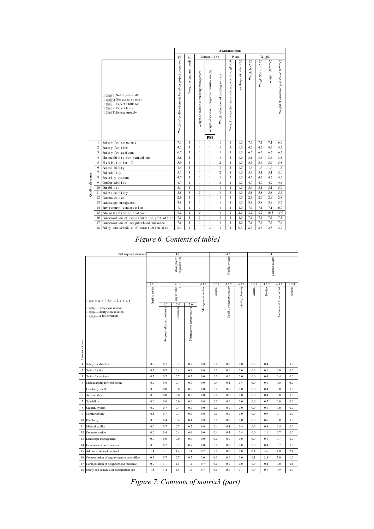|                  |                     |                                                                                                                                                                          | Assurance plan                                             |                                  |                                          |                                                 |                                        |                                                      |                        |              |                   |                |                                       |
|------------------|---------------------|--------------------------------------------------------------------------------------------------------------------------------------------------------------------------|------------------------------------------------------------|----------------------------------|------------------------------------------|-------------------------------------------------|----------------------------------------|------------------------------------------------------|------------------------|--------------|-------------------|----------------|---------------------------------------|
|                  |                     |                                                                                                                                                                          |                                                            | Pl an<br>Wi ght<br>Comparat i ve |                                          |                                                 |                                        |                                                      |                        |              |                   |                |                                       |
|                  |                     | $\Box$ @ @ P. Not expect at all<br>$\Box$ @ @ Q. Not expect so much<br>$\Box$ @ @ R. Expect a little bit<br>$\Box$ @ @ S. Expect fairly<br>$\Box$ @ @ T. Expect strongly | Weight of quality elements based on project properties (X) | Weight of end user needs (Y)     | Weight of section of building management | Weight of section of project administration (A) | Weight of section of building services | Weight of expectation considering other's weight (B) | Level-up ratio (Z=B/A) | Weigh 1(X*Y) | Weigh 2(% of X*Y) | Weigh 3(X*Y*Z) | Weight of assurance plan (% of X*Y*Z) |
|                  |                     |                                                                                                                                                                          | 7.1                                                        | $\mathbf{1}$                     | $\mathbf{1}$                             | PM                                              | $\mathbf{1}$                           | $\mathbf{1}$                                         | 1.0                    | 7.1          | 7.1               | 7.1            | 6.9                                   |
|                  | 1<br>$\overline{c}$ | Safety for structure<br>Safety for fire                                                                                                                                  | 4.3                                                        | $\mathbf{1}$                     | $\mathbf{1}$                             | 1<br>$\mathbf{1}$                               | $\mathbf{1}$                           | $\mathbf{1}$                                         | 1.0                    | 4.3          | 4.3               | 4.3            | 4.2                                   |
|                  | 3                   | Safety for accident                                                                                                                                                      | 6.7                                                        | $\mathbf{1}$                     | $\mathbf{1}$                             | 1                                               | 1                                      | $\mathbf{1}$                                         | 1.0                    | 6.7          | 6.7               | 6.7            | 6.5                                   |
|                  | $\overline{4}$      | Changeability for remodeling                                                                                                                                             | 3.6                                                        | $\mathbf{1}$                     | $\mathbf{1}$                             | 1                                               | $\mathbf{1}$                           | $\mathbf{1}$                                         | 1.0                    | 3.6          | 3.6               | 3.6            | 3.5                                   |
|                  | 5                   | Flexibility for IT                                                                                                                                                       | 5.9                                                        | $\mathbf{1}$                     | $\mathbf{1}$                             | 1                                               | $\overline{c}$                         | $\mathbf{1}$                                         | 1.0                    | 5.9          | 5.9               | 5.9            | 5.8                                   |
|                  | 6                   | Accessibility                                                                                                                                                            | 1.4                                                        | $\mathbf{1}$                     | $\mathbf{1}$                             | 1                                               | $\mathbf{1}$                           | $\mathbf{1}$                                         | 1.0                    | 1.4          | 1.4               | 1.4            | 1.4                                   |
|                  | $\overline{7}$      | Suitability                                                                                                                                                              | 5.1                                                        | $\mathbf{1}$                     | $\mathbf{1}$                             | 1                                               | $\overline{c}$                         | $\mathbf{1}$                                         | 1.0                    | 5.1          | 5.1               | 5.1            | 5.0                                   |
| Quality elements | 8                   | Security system                                                                                                                                                          | 4.7                                                        | $\mathbf{1}$                     | $\mathbf{1}$                             | $\mathbf{1}$                                    | $\mathbf{1}$                           | $\mathbf{1}$                                         | 1.0                    | 4.7          | 4.7               | 4.7            | 4.6                                   |
|                  | 9                   | Confortability                                                                                                                                                           | 4.7                                                        | $\mathbf{1}$                     | $\mathbf{1}$                             | $\mathbf{1}$                                    | $\overline{3}$                         | $\mathbf{1}$                                         | 1.0                    | 4.7          | 4.7               | 4.7            | 4.6                                   |
|                  | 10                  | Durability                                                                                                                                                               | 5.1                                                        | $\mathbf{1}$                     | $\mathbf{1}$                             | 1                                               | 1                                      | $\mathbf{1}$                                         | 1.0                    | 5.1          | 5.1               | 5.1            | 5.0                                   |
|                  | 11                  | Maintainability                                                                                                                                                          | 5.8                                                        | $\mathbf{1}$                     | $\overline{\mathbf{3}}$                  | 1                                               | 1                                      | $\mathbf{1}$                                         | 1.0                    | 5.8          | 5.8               | 5.8            | 5.6                                   |
|                  | 12                  | Communi cat i on                                                                                                                                                         | 2.9                                                        | $\mathbf{1}$                     | $\mathbf{1}$                             | 1                                               | 1                                      | $\mathbf{1}$                                         | 1.0                    | 2.9          | 2.9               | 2.9            | 2.8                                   |
|                  | 13                  | Landscape management                                                                                                                                                     | 3.8                                                        | $\mathbf{1}$                     | $\mathbf{1}$                             | 1                                               | 1                                      | $\mathbf{1}$                                         | 1.0                    | 3.8          | 3.8               | 3.8            | 3.7                                   |
|                  | 14                  | Environment conservation                                                                                                                                                 | 7.1                                                        | $\mathbf{1}$                     | $\mathbf{1}$                             | $\mathbf{1}$                                    | 1                                      | $\mathbf{1}$                                         | 1.0                    | 7.1          | 7.1               | 7.1            | 6.9                                   |
|                  | 15                  | Administration of contract                                                                                                                                               | 8.2                                                        | $\mathbf{1}$                     | 5                                        | $\mathbf{1}$                                    | 1                                      | $\overline{c}$                                       | 2.0                    | 8.2          | 8.2               | 16.3           | 15.9                                  |
|                  | 16                  | Compensation of requirement to post office                                                                                                                               | 7.5                                                        | $\mathbf{1}$                     | 3                                        | $\mathbf{1}$                                    | 1                                      | $\mathbf{1}$                                         | 1.0                    | 7.5          | 7.5               | 7.5            | 7.3                                   |
|                  | 17                  | Compensation of neighborhood nuisance                                                                                                                                    | 7.6                                                        | $\mathbf{1}$                     | $\mathbf{1}$                             | $\mathbf{1}$                                    | $\mathbf{1}$                           | $\mathbf{1}$                                         | 1.0                    | 7.6          | 7.6               | 7.6            | 7.4                                   |
|                  | 18                  | Safty and schedule of construction site                                                                                                                                  | 8.3                                                        | 1                                | $\mathbf{1}$                             | $\overline{\mathbf{3}}$                         | 1                                      | $\mathbf{1}$                                         | 0.3                    | 8.3          | 8.3               | 2.8            | 2.7                                   |

Figure 6. Contents of table1

|                 | ISO required elements                                                                                                 |                |                                  | 4.1                          |                           |       |                   | 4.2            |                          | 4.3              |         |        |                         |         |
|-----------------|-----------------------------------------------------------------------------------------------------------------------|----------------|----------------------------------|------------------------------|---------------------------|-------|-------------------|----------------|--------------------------|------------------|---------|--------|-------------------------|---------|
|                 |                                                                                                                       |                |                                  | Management<br>responsibility |                           |       |                   | Quality system |                          | Contract review  |         |        |                         |         |
|                 |                                                                                                                       | 4.1.1          |                                  | 4.1.2<br>π                   |                           | 4.1.3 | 4.2.1             | 4.2.2          | 4.2.3                    | 4.3.1            | 4.3.2   | 4.3.3  | 4.3.4                   |         |
|                 | $\Box$ @ $\Omega$ , very close relation<br>$\Box$ @@fairly close relation<br>$\Box$ @ $\Omega$ ,  . a little relation | Quality policy | Organizatio<br>2.0<br>1.0<br>3.0 |                              |                           |       | Management review | General        | Quality system procedure | Quality planning | General | Review | Amendment to a contract | Records |
| Assurance items |                                                                                                                       |                | Responsibility and authority     | Resources                    | Management representative |       |                   |                |                          |                  |         |        |                         |         |
| $\mathbf{1}$    | Safety for structure                                                                                                  | 0.7            | 0.7                              | 0.7                          | 0.7                       | 0.0   | 0.0               | 0.0            | 0.0                      | 0.0              | 0.4     | 0.1    | 0.7                     |         |
| $\overline{c}$  | Safety for fire                                                                                                       | 0.7            | 0.7                              | 0.4                          | 0.4                       | 0.0   | 0.0               | 0.0            | 0.0                      | 0.0              | 0.1     | 0.0    | 0.0                     |         |
| 3               | Safety for accident                                                                                                   | 0.7            | 0.7                              | 0.7                          | 0.7                       | 0.0   | 0.0               | 0.0            | 0.0                      | 0.0              | 0.4     | 0.4    | 0.0                     |         |
| $\overline{4}$  | Changeability for remodeling                                                                                          | 0.0            | 0.0                              | 0.4                          | 0.0                       | 0.0   | 0.4               | 0.4            | 0.4                      | 0.0              | 0.1     | 0.0    | 0.0                     |         |
| 5               | Flexibility for IT                                                                                                    | 0.0            | 0.0                              | 0.0                          | 0.0                       | 0.0   | 0.0               | 0.0            | 0.0                      | 0.0              | 0.4     | 0.0    | 0.0                     |         |
| 6               | Accessibility                                                                                                         | 0.0            | 0.0                              | 0.0                          | 0.0                       | 0.0   | 0.0               | 0.0            | 0.0                      | 0.0              | 0.4     | 0.0    | 0.0                     |         |
| $\tau$          | Suitability                                                                                                           | 0.0            | 0.0                              | 0.0                          | 0.0                       | 0.0   | 0.0               | 0.0            | 0.0                      | 0.0              | 0.7     | 0.0    | 0.0                     |         |
| 8               | Security system                                                                                                       | 0.0            | 0.7                              | 0.4                          | 0.7                       | 0.0   | 0.0               | 0.0            | 0.0                      | 0.0              | 0.1     | 0.0    | 0.0                     |         |
| 9               | Comfortability                                                                                                        | 0.4            | 0.7                              | 0.7                          | 0.7                       | 0.0   | 0.0               | 0.0            | 0.0                      | 0.0              | 0.9     | 0.1    | 0.0                     |         |
| 10              | Durability                                                                                                            | 0.0            | 0.4                              | 0.4                          | 0.4                       | 0.0   | 0.0               | 0.0            | 0.0                      | 0.0              | 0.6     | 0.0    | 0.7                     |         |
| 11              | Maintainability                                                                                                       | 0.0            | 0.7                              | 0.7                          | 0.7                       | 0.0   | 0.4               | 0.4            | 0.4                      | 0.0              | 0.9     | 0.4    | 0.0                     |         |
| 12              | Communication                                                                                                         | 0.0            | 0.4                              | 0.4                          | 0.4                       | 0.0   | 0.4               | 0.4            | 0.4                      | 0.0              | 1.1     | 0.7    | 0.0                     |         |
| 13              | Landscape management                                                                                                  | 0.0            | 0.0                              | 0.0                          | 0.0                       | 0.0   | 0.0               | 0.0            | 0.0                      | 0.0              | 0.1     | 0.7    | 0.0                     |         |
| 14              | Environment conservation                                                                                              | 0.0            | 0.7                              | 0.7                          | 0.7                       | 0.0   | 0.0               | 0.0            | 0.0                      | 0.0              | 0.4     | 0.7    | 0.0                     |         |
| 15              | Administration of contract                                                                                            | 1.4            | 1.1                              | 1.4                          | 1.4                       | 0.7   | 0.0               | 0.0            | 0.0                      | 0.1              | 3.6     | 4.0    | 2.4                     |         |
| 16              | Compensation of requirement to post office                                                                            | 0.4            | 0.7                              | 0.7                          | 0.7                       | 0.0   | 0.0               | 0.0            | 0.0                      | 0.1              | 2.3     | 2.0    | 1.0                     |         |
| 17              | Compensation of neighborhood nuisance                                                                                 | 0.9            | 1.1                              | 1.1                          | 1.4                       | 0.7   | 0.0               | 0.0            | 0.0                      | 0.0              | 0.4     | 0.0    | 0.4                     |         |
| 18              | Safety and schedule of construction site                                                                              | 1.4            | 1.4                              | 1.1                          | 1.4                       | 0.7   | 0.0               | 0.0            | 0.1                      | 0.0              | 0.7     | 0.9    | 0.7                     |         |

Figure 7. Contents of matrix3 (part)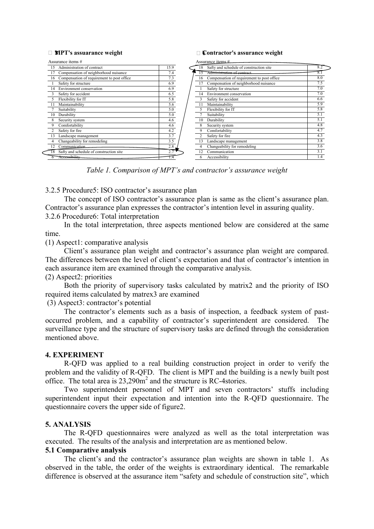#### **¥MPT's assuarance weight ¥**

#### **Contractor's assurance weight**

| Assurance items #                          |  | Assurance items # |    |                                            |     |  |  |  |  |
|--------------------------------------------|--|-------------------|----|--------------------------------------------|-----|--|--|--|--|
| Administration of contract                 |  | 15.9              | 18 | Safty and schedule of construction site    | 8.2 |  |  |  |  |
| Compensation of neighborhood nuisance      |  | 7.4               |    | Administration of contract                 | 8.  |  |  |  |  |
| Compensation of requirement to post office |  | 7.3               | 16 | Compensation of requirement to post office | 8.0 |  |  |  |  |
| Safety for structure                       |  | 6.9               |    | Compensation of neighborhood nuisance      | 7.5 |  |  |  |  |
| Environment conservation                   |  | 6.9               |    | Safety for structure                       | 7.0 |  |  |  |  |
| Safety for accident                        |  | 6.5               | 14 | Environment conservation                   | 7.0 |  |  |  |  |
| Flexibility for IT                         |  | 5.8               |    | Safety for accident                        | 6.6 |  |  |  |  |
| Maintainability                            |  | 5.6               |    | Maintainability                            | 5.9 |  |  |  |  |
| Suitability                                |  | 5.0               |    | Flexibility for IT                         | 5.8 |  |  |  |  |
| Durability                                 |  | 5.0               |    | Suitability                                | 5.1 |  |  |  |  |
| Security system                            |  | 4.6               | 10 | Durability                                 | 5.1 |  |  |  |  |
| Comfortability                             |  | 4.6               |    | Security system                            | 4.8 |  |  |  |  |
| Safety for fire                            |  | 4.2               |    | Comfortability                             | 4.7 |  |  |  |  |
| Landscape management                       |  | 3.7               |    | Safety for fire                            | 4.3 |  |  |  |  |
| Changeability for remodeling               |  | 3.5               | 13 | Landscape management                       | 3.8 |  |  |  |  |
| Communication                              |  | 2.8               |    | Changeability for remodeling               | 3.6 |  |  |  |  |
| Safty and schedule of construction site    |  | 2.7               | 12 | Communication                              | 3.1 |  |  |  |  |
| Accessibility                              |  | I.4               | 6  | Accessibility                              | 1.4 |  |  |  |  |

*Table 1. Comparison of MPT's and contractor's assurance weight* 

3.2.5 Procedure5: ISO contractor's assurance plan

The concept of ISO contractor's assurance plan is same as the client's assurance plan. Contractor's assurance plan expresses the contractor's intention level in assuring quality.

# 3.2.6 Procedure6: Total interpretation

In the total interpretation, three aspects mentioned below are considered at the same time.

(1) Aspect1: comparative analysis

Client's assurance plan weight and contractor's assurance plan weight are compared. The differences between the level of client's expectation and that of contractor's intention in each assurance item are examined through the comparative analysis.

(2) Aspect2: priorities

Both the priority of supervisory tasks calculated by matrix2 and the priority of ISO required items calculated by matrex3 are examined

(3) Aspect3: contractor's potential

The contractor's elements such as a basis of inspection, a feedback system of pastoccurred problem, and a capability of contractor's superintendent are considered. The surveillance type and the structure of supervisory tasks are defined through the consideration mentioned above.

#### **4. EXPERIMENT**

R-QFD was applied to a real building construction project in order to verify the problem and the validity of R-QFD. The client is MPT and the building is a newly built post office. The total area is  $23,290\text{m}^2$  and the structure is RC-4stories.

Two superintendent personnel of MPT and seven contractors' stuffs including superintendent input their expectation and intention into the R-QFD questionnaire. The questionnaire covers the upper side of figure2.

#### **5. ANALYSIS**

The R-QFD questionnaires were analyzed as well as the total interpretation was executed. The results of the analysis and interpretation are as mentioned below.

# **5.1 Comparative analysis**

The client's and the contractor's assurance plan weights are shown in table 1. As observed in the table, the order of the weights is extraordinary identical. The remarkable difference is observed at the assurance item "safety and schedule of construction site", which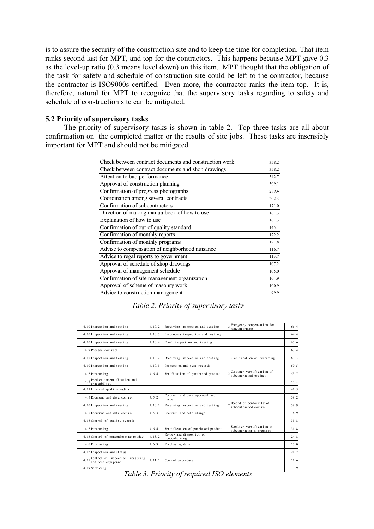is to assure the security of the construction site and to keep the time for completion. That item ranks second last for MPT, and top for the contractors. This happens because MPT gave 0.3 as the level-up ratio  $(0.3 \text{ means level down})$  on this item. MPT thought that the obligation of the task for safety and schedule of construction site could be left to the contractor, because the contractor is ISO9000s certified. Even more, the contractor ranks the item top. It is, therefore, natural for MPT to recognize that the supervisory tasks regarding to safety and schedule of construction site can be mitigated.

#### 5.2 Priority of supervisory tasks

The priority of supervisory tasks is shown in table 2. Top three tasks are all about confirmation on the completed matter or the results of site jobs. These tasks are insensibly important for MPT and should not be mitigated.

| Check between contract documents and construction work | 358.2 |
|--------------------------------------------------------|-------|
| Check between contract documents and shop drawings     | 358.2 |
| Attention to bad performance                           | 342.7 |
| Approval of construction planning                      | 309.1 |
| Confirmation of progress photographs                   | 289.4 |
| Coordination among several contracts                   | 202.3 |
| Confirmation of subcontractors                         | 171.0 |
| Direction of making manualbook of how to use           | 161.3 |
| Explanation of how to use                              | 161.3 |
| Confirmation of out of quality standard                | 145.4 |
| Confirmation of monthly reports                        | 122.2 |
| Confirmation of monthly programs                       | 121.8 |
| Advise to compensation of neighborhood nuisance        | 116.7 |
| Advice to regal reports to government                  | 113.7 |
| Approval of schedule of shop drawings                  | 107.2 |
| Approval of management schedule                        | 105.0 |
| Confirmation of site management organization           | 104.9 |
| Approval of scheme of masonry work                     | 100.9 |
| Advice to construction management                      | 99.9  |
|                                                        |       |

Table 2. Priority of supervisory tasks

| 4.10 Inspection and testing                                   | 4.10.2    | Receiving inspection and testing            | 3 Energency conpensation for<br>nonconf or m ng                     | 66.4            |
|---------------------------------------------------------------|-----------|---------------------------------------------|---------------------------------------------------------------------|-----------------|
| 4.10 Inspection and testing                                   | 4.10.3    | In-process inspection and testing           |                                                                     | 64.4            |
| 4.10 Inspection and testing                                   | 4.10.4    | Final inspection and testing                |                                                                     | 63 6            |
| 4.9 Process contraol                                          |           |                                             |                                                                     | 63 4            |
| 4.10 Inspection and testing                                   | 4.10.2    | Receiving inspection and testing            | 1 Clarification of receiving                                        | 63.3            |
| 4.10 Inspection and testing                                   | 4.10.5    | Inspection and test records                 |                                                                     | 60 <sub>5</sub> |
| 4.6 Pur chasi ng                                              | 4.6.4     | Verification of purchased product           | $\frac{1}{2}$ Cust oner vertification of<br>subcont ract ed product | 53.7            |
| $4.8$ Product indentification and<br>traceability             |           |                                             |                                                                     | 44.1            |
| 4.17 Internal quality audits                                  |           |                                             |                                                                     | 41.5            |
| 4.5 Document and data control                                 | 4.5.2     | Document and data approval and<br>issue     |                                                                     | 392             |
| 4.10 Inspection and testing                                   | 4.10.2    | Receiving inspection and testing            | $Record$ of conformity of<br>subcontracted control                  | 38.9            |
| 4.5 Document and data control                                 | $4\,5\,3$ | Document and det a change                   |                                                                     | 369             |
| 4.16 Control of quality records                               |           |                                             |                                                                     | 35.8            |
| 4.6 Pur chasi ng                                              | 4.6.4     | Vertification of purchased product          | Supplier vertification at<br>subcontractor's premises               | 31.8            |
| 4.13 Cont or l of nonconforming product                       | 4.13.2    | Review and dispositon of<br>nonconf or m ng |                                                                     | 24.8            |
| 4.6 Pur chasi ng                                              | 4.6.3     | Pur chasing data                            |                                                                     | 23.0            |
| 4.12 Inspection and status                                    |           |                                             |                                                                     | 21.7            |
| Control of inspection, measuring<br>411<br>and test equipment | 4.11.2    | Control procedure                           |                                                                     | 21.6            |
| 4.19 Servicing                                                |           |                                             |                                                                     | 19.9            |

Table 3. Priority of required ISO elements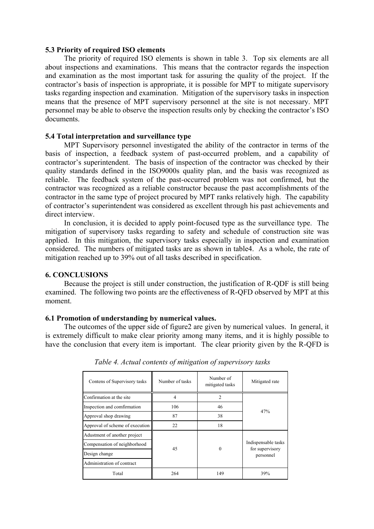#### **5.3 Priority of required ISO elements**

The priority of required ISO elements is shown in table 3. Top six elements are all about inspections and examinations. This means that the contractor regards the inspection and examination as the most important task for assuring the quality of the project. If the contractor's basis of inspection is appropriate, it is possible for MPT to mitigate supervisory tasks regarding inspection and examination. Mitigation of the supervisory tasks in inspection means that the presence of MPT supervisory personnel at the site is not necessary. MPT personnel may be able to observe the inspection results only by checking the contractor's ISO documents.

# **5.4 Total interpretation and surveillance type**

MPT Supervisory personnel investigated the ability of the contractor in terms of the basis of inspection, a feedback system of past-occurred problem, and a capability of contractor's superintendent. The basis of inspection of the contractor was checked by their quality standards defined in the ISO9000s quality plan, and the basis was recognized as reliable. The feedback system of the past-occurred problem was not confirmed, but the contractor was recognized as a reliable constructor because the past accomplishments of the contractor in the same type of project procured by MPT ranks relatively high. The capability of contractor's superintendent was considered as excellent through his past achievements and direct interview.

In conclusion, it is decided to apply point-focused type as the surveillance type. The mitigation of supervisory tasks regarding to safety and schedule of construction site was applied. In this mitigation, the supervisory tasks especially in inspection and examination considered. The numbers of mitigated tasks are as shown in table4. As a whole, the rate of mitigation reached up to 39% out of all tasks described in specification.

#### **6. CONCLUSIONS**

Because the project is still under construction, the justification of R-QDF is still being examined. The following two points are the effectiveness of R-QFD observed by MPT at this moment.

#### **6.1 Promotion of understanding by numerical values.**

The outcomes of the upper side of figure2 are given by numerical values. In general, it is extremely difficult to make clear priority among many items, and it is highly possible to have the conclusion that every item is important. The clear priority given by the R-QFD is

| Contens of Supervisory tasks    | Number of tasks | Number of<br>mitigated tasks | Mitigated rate                         |  |  |
|---------------------------------|-----------------|------------------------------|----------------------------------------|--|--|
| Confirmation at the site        | 4               | 2                            |                                        |  |  |
| Inspection and comfirmation     | 106             | 46                           | 47%                                    |  |  |
| Approval shop drawing           | 87              | 38                           |                                        |  |  |
| Approval of scheme of execution | 22              | 18                           |                                        |  |  |
| Adustment of another project    |                 |                              |                                        |  |  |
| Compensation of neighborhood    | 45              | $_{0}$                       | Indispensable tasks<br>for supervisory |  |  |
| Design change                   |                 |                              | personnel                              |  |  |
| Administration of contract      |                 |                              |                                        |  |  |
| Total                           | 264             | 149                          | 39%                                    |  |  |

*Table 4. Actual contents of mitigation of supervisory tasks*